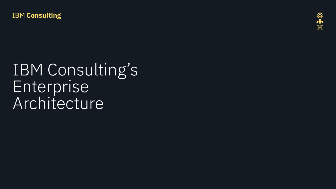## IBM Consulting's Enterprise Architecture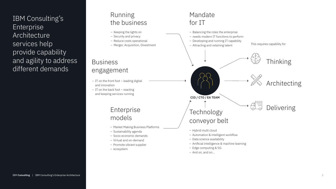IBM Consulting's Enterprise **Architecture** services help provide capability and agility to address different demands

## Running the business



Mandate

for IT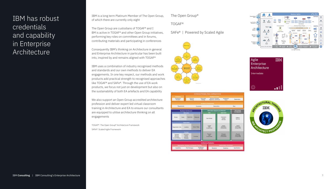IBM has robust credentials and capability in Enterprise **Architecture** 

IBM is a long term Platinum Member of The Open Group, of which there are currently only eight

The Open Group are custodians of TOGAF® and I BM is active in TOGAF® and other Open Group initiatives, performing key roles on committees and in forums, contributing materials and participating in conferences

Consequently IBM's thinking on Architecture in general and Enterprise Architecture in particular has been built into, inspired by and remains aligned with TOGAF®

IBM uses a combination of industry recognised methods and standards and our own methods to deliver EA engagements. In one key respect, our methods and work products add practical strength to recognised approaches like TOGAF® and SAFe®. Through the use of EA work products, we focus not just on development but also on the sustainability of both EA artefacts and EA capability

We also support an Open Group accredited architecture profession and deliver expert led virtual classroom training in Architecture and EA to ensure our consultants are equipped to utilise architecture thinking on all engagements

TOGAF®: The Open Group® Architecture Framework SAFe®: Scaled Agile Framework

The Open Group®

TOGAF®

SAFe® | Powered by Scaled Agile







Agile **TEM** Enterprise Architecture Intermediate . I II



IBM **Consulting** | IBM Consulting's Enterprise Architecture 3 IBM **Consulting** | IBM Consulting's Enterprise Architecture